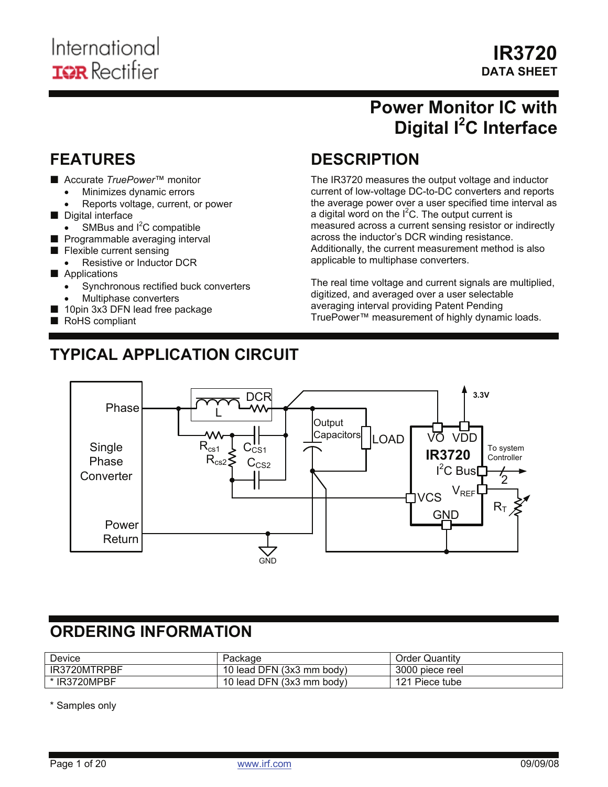**FEATURES** 

Digital interface

**Applications** 

RoHS compliant

**Flexible current sensing** 

■ Accurate *TruePower*<sup>™</sup> monitor • Minimizes dynamic errors

• SMBus and  $I^2C$  compatible **Programmable averaging interval** 

• Resistive or Inductor DCR

• Multiphase converters ■ 10pin 3x3 DFN lead free package

• Reports voltage, current, or power

• Synchronous rectified buck converters

## **Power Monitor IC with Digital I2 C Interface**

## **DESCRIPTION**

The IR3720 measures the output voltage and inductor current of low-voltage DC-to-DC converters and reports the average power over a user specified time interval as a digital word on the  $I^2C$ . The output current is measured across a current sensing resistor or indirectly across the inductor's DCR winding resistance. Additionally, the current measurement method is also applicable to multiphase converters.

The real time voltage and current signals are multiplied, digitized, and averaged over a user selectable averaging interval providing Patent Pending TruePower™ measurement of highly dynamic loads.



## **ORDERING INFORMATION**

| Device       | Package                      | <b>Order Quantity</b> |
|--------------|------------------------------|-----------------------|
| IR3720MTRPBF | 10 lead DFN (3x3 mm body)    | 3000 piece reel       |
| * IR3720MPBF | lead DFN (3x3 mm body)<br>10 | 121 Piece tube        |

\* Samples only

## **TYPICAL APPLICATION CIRCUIT**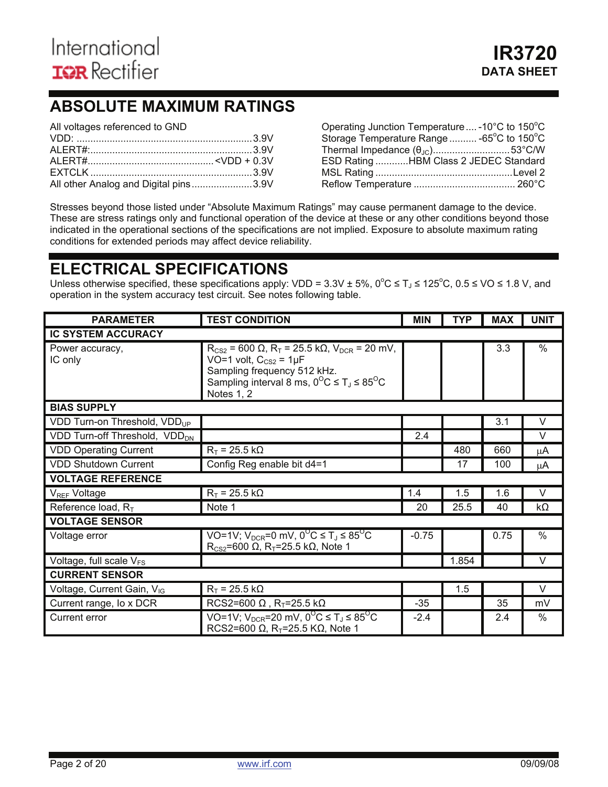## **ABSOLUTE MAXIMUM RATINGS**

All voltages referenced to GND

| All other Analog and Digital pins3.9V |  |
|---------------------------------------|--|

Operating Junction Temperature .... -10 $^{\circ}$ C to 150 $^{\circ}$ C Storage Temperature Range .......... -65°C to 150°C Thermal Impedance  $(\theta_{JC})$ ..................................53°C/W ESD Rating ............HBM Class 2 JEDEC Standard MSL Rating ..................................................Level 2 Reflow Temperature ..................................... 260°C

Stresses beyond those listed under "Absolute Maximum Ratings" may cause permanent damage to the device. These are stress ratings only and functional operation of the device at these or any other conditions beyond those indicated in the operational sections of the specifications are not implied. Exposure to absolute maximum rating conditions for extended periods may affect device reliability.

## **ELECTRICAL SPECIFICATIONS**

Unless otherwise specified, these specifications apply: VDD =  $3.3V \pm 5%$ , 0°C  $\leq T_J \leq 125$ °C, 0.5  $\leq$  VO  $\leq$  1.8 V, and operation in the system accuracy test circuit. See notes following table.

| <b>PARAMETER</b>                          | <b>MIN</b>                                                                                                                                                                                                               | <b>TYP</b> | <b>MAX</b> | <b>UNIT</b> |        |
|-------------------------------------------|--------------------------------------------------------------------------------------------------------------------------------------------------------------------------------------------------------------------------|------------|------------|-------------|--------|
| <b>IC SYSTEM ACCURACY</b>                 |                                                                                                                                                                                                                          |            |            |             |        |
| Power accuracy,<br>IC only                | $R_{CS2}$ = 600 $\Omega$ , $R_T$ = 25.5 k $\Omega$ , $V_{DCR}$ = 20 mV,<br>VO=1 volt, $C_{CS2} = 1 \mu F$<br>Sampling frequency 512 kHz.<br>Sampling interval 8 ms, $0^{\circ}C \leq T_J \leq 85^{\circ}C$<br>Notes 1, 2 |            |            | 3.3         | $\%$   |
| <b>BIAS SUPPLY</b>                        |                                                                                                                                                                                                                          |            |            |             |        |
| VDD Turn-on Threshold, VDD <sub>UP</sub>  |                                                                                                                                                                                                                          |            |            | 3.1         | V      |
| VDD Turn-off Threshold, VDD <sub>DN</sub> |                                                                                                                                                                                                                          | 2.4        |            |             | V      |
| <b>VDD Operating Current</b>              | $R_T$ = 25.5 k $\Omega$                                                                                                                                                                                                  |            | 480        | 660         | μA     |
| <b>VDD Shutdown Current</b>               | Config Reg enable bit d4=1                                                                                                                                                                                               |            | 17         | 100         | μA     |
| <b>VOLTAGE REFERENCE</b>                  |                                                                                                                                                                                                                          |            |            |             |        |
| $V_{REF}$ Voltage                         | $R_T$ = 25.5 k $\Omega$                                                                                                                                                                                                  | 1.4        | 1.5        | 1.6         | $\vee$ |
| Reference load, $R_T$                     | Note 1                                                                                                                                                                                                                   | 20         | 25.5       | 40          | kΩ     |
| <b>VOLTAGE SENSOR</b>                     |                                                                                                                                                                                                                          |            |            |             |        |
| Voltage error                             | VO=1V; V <sub>DCR</sub> =0 mV, 0 <sup>o</sup> C ≤ T <sub>J</sub> ≤ 85 <sup>o</sup> C<br>$R_{CS2}$ =600 $\Omega$ , R <sub>T</sub> =25.5 k $\Omega$ , Note 1                                                               | $-0.75$    |            | 0.75        | $\%$   |
| Voltage, full scale $V_{FS}$              |                                                                                                                                                                                                                          |            | 1.854      |             | V      |
| <b>CURRENT SENSOR</b>                     |                                                                                                                                                                                                                          |            |            |             |        |
| Voltage, Current Gain, V <sub>IG</sub>    | $R_T$ = 25.5 k $\Omega$                                                                                                                                                                                                  |            | 1.5        |             | $\vee$ |
| Current range, lo x DCR                   | RCS2=600 $\Omega$ , R <sub>T</sub> =25.5 k $\Omega$                                                                                                                                                                      | $-35$      |            | 35          | mV     |
| <b>Current error</b>                      | VO=1V; V <sub>DCR</sub> =20 mV, 0 <sup>°</sup> C ≤ T <sub>J</sub> ≤ 85 <sup>°</sup> C<br>RCS2=600 $\Omega$ , R <sub>T</sub> =25.5 K $\Omega$ , Note 1                                                                    | $-2.4$     |            | 2.4         | $\%$   |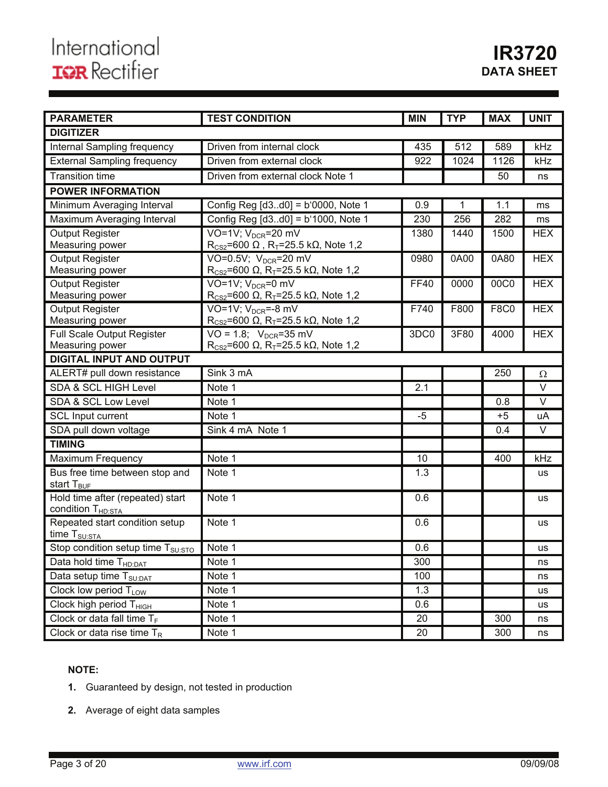# International **IGR** Rectifier

| <b>PARAMETER</b>                                                  | <b>TEST CONDITION</b>                                                     | <b>MIN</b>  | <b>TYP</b> | <b>MAX</b>  | <b>UNIT</b>       |
|-------------------------------------------------------------------|---------------------------------------------------------------------------|-------------|------------|-------------|-------------------|
| <b>DIGITIZER</b>                                                  |                                                                           |             |            |             |                   |
| Internal Sampling frequency                                       | Driven from internal clock                                                | 435         | 512        | 589         | kHz               |
| <b>External Sampling frequency</b>                                | Driven from external clock                                                | 922         | 1024       | 1126        | kHz               |
| <b>Transition time</b>                                            | Driven from external clock Note 1                                         |             |            | 50          | ns                |
| <b>POWER INFORMATION</b>                                          |                                                                           |             |            |             |                   |
| Minimum Averaging Interval                                        | Config Reg [d3d0] = b'0000, Note 1                                        | 0.9         | 1          | 1.1         | ms                |
| Maximum Averaging Interval                                        | Config Reg [d3d0] = b'1000, Note 1                                        | 230         | 256        | 282         | ms                |
| Output Register                                                   | VO=1V; $V_{DCR}$ =20 mV                                                   | 1380        | 1440       | 1500        | <b>HEX</b>        |
| Measuring power                                                   | $R_{CS2}$ =600 $\Omega$ , $R_T$ =25.5 k $\Omega$ , Note 1,2               |             |            |             |                   |
| <b>Output Register</b>                                            | $\overline{VO=0.5V}; V_{DCR}=20$ mV                                       | 0980        | 0A00       | 0A80        | <b>HEX</b>        |
| Measuring power                                                   | $R_{CS2}$ =600 Ω, R <sub>T</sub> =25.5 kΩ, Note 1,2<br>VO=1V; $VDCR=0$ mV | <b>FF40</b> | 0000       | 00C0        | <b>HEX</b>        |
| <b>Output Register</b><br>Measuring power                         | $R_{CS2}$ =600 $\Omega$ , R <sub>T</sub> =25.5 k $\Omega$ , Note 1,2      |             |            |             |                   |
| <b>Output Register</b>                                            | VO=1V; $V_{DCR}$ =-8 mV                                                   | F740        | F800       | <b>F8C0</b> | <b>HEX</b>        |
| Measuring power                                                   | $R_{CS2}$ =600 Ω, R <sub>T</sub> =25.5 kΩ, Note 1,2                       |             |            |             |                   |
| Full Scale Output Register                                        | $VO = 1.8$ ; $V_{DCR} = 35$ mV                                            | 3DC0        | 3F80       | 4000        | <b>HEX</b>        |
| Measuring power                                                   | $R_{CS2}$ =600 Ω, R <sub>T</sub> =25.5 kΩ, Note 1,2                       |             |            |             |                   |
| <b>DIGITAL INPUT AND OUTPUT</b>                                   |                                                                           |             |            |             |                   |
| ALERT# pull down resistance                                       | Sink 3 mA                                                                 |             |            | 250         | $\Omega$          |
| SDA & SCL HIGH Level                                              | Note 1                                                                    | 2.1         |            |             | $\overline{\vee}$ |
| SDA & SCL Low Level                                               | Note 1                                                                    |             |            | 0.8         | $\vee$            |
| <b>SCL Input current</b>                                          | Note 1                                                                    | $-5$        |            | $+5$        | uA                |
| SDA pull down voltage                                             | Sink 4 mA Note 1                                                          |             |            | 0.4         | $\vee$            |
| <b>TIMING</b>                                                     |                                                                           |             |            |             |                   |
| Maximum Frequency                                                 | Note 1                                                                    | 10          |            | 400         | kHz               |
| Bus free time between stop and                                    | Note 1                                                                    | 1.3         |            |             | <b>us</b>         |
| start T <sub>BUF</sub>                                            |                                                                           |             |            |             |                   |
| Hold time after (repeated) start<br>condition T <sub>HD:STA</sub> | Note 1                                                                    | 0.6         |            |             | us                |
| Repeated start condition setup                                    | Note 1                                                                    | 0.6         |            |             | <b>us</b>         |
| time $T_{\text{SU:STA}}$                                          |                                                                           |             |            |             |                   |
| Stop condition setup time T <sub>SU:STO</sub>                     | Note 1                                                                    | 0.6         |            |             | us                |
| Data hold time T <sub>HD:DAT</sub>                                | Note 1                                                                    | 300         |            |             | ns                |
| Data setup time T <sub>SU:DAT</sub>                               | Note 1                                                                    | 100         |            |             | ns                |
| Clock low period T <sub>LOW</sub>                                 | Note 1                                                                    | 1.3         |            |             | us                |
| Clock high period T <sub>HIGH</sub>                               | Note 1                                                                    | 0.6         |            |             | us                |
| Clock or data fall time $T_F$                                     | Note 1                                                                    | 20          |            | 300         | ns                |
| Clock or data rise time $T_R$                                     | Note 1                                                                    | 20          |            | 300         | ns                |

### **NOTE:**

- **1.** Guaranteed by design, not tested in production
- **2.** Average of eight data samples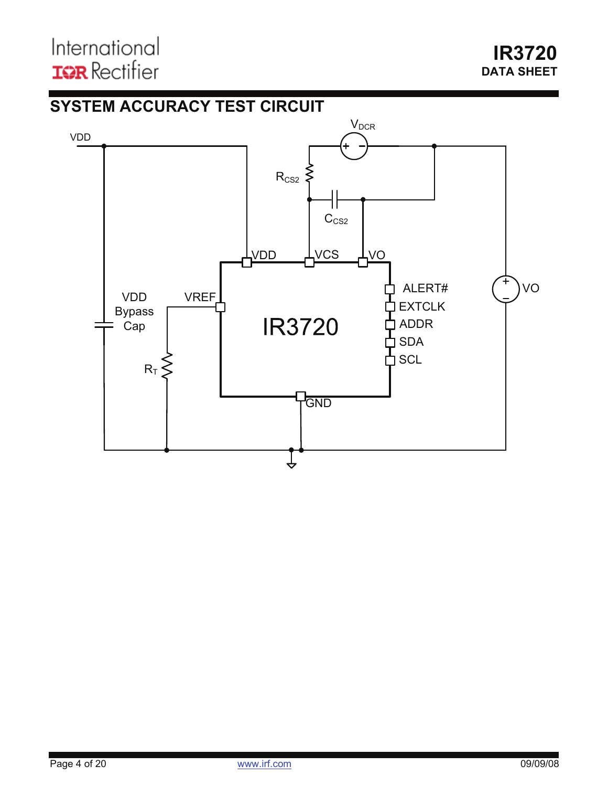## **SYSTEM ACCURACY TEST CIRCUIT**

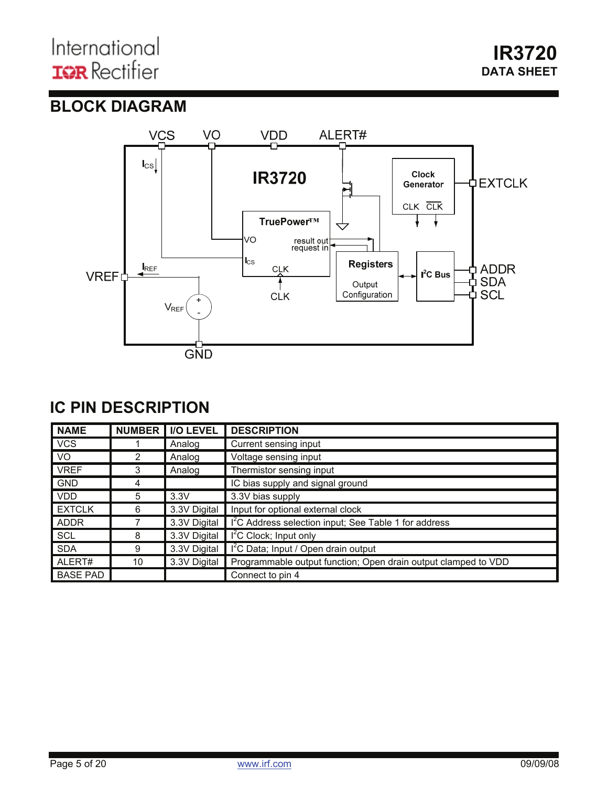## **BLOCK DIAGRAM**



## **IC PIN DESCRIPTION**

| <b>NAME</b>     | <b>NUMBER</b> | <b>I/O LEVEL</b> | <b>DESCRIPTION</b>                                                |
|-----------------|---------------|------------------|-------------------------------------------------------------------|
| <b>VCS</b>      |               | Analog           | Current sensing input                                             |
| VO.             | 2             | Analog           | Voltage sensing input                                             |
| <b>VREF</b>     | 3             | Analog           | Thermistor sensing input                                          |
| <b>GND</b>      | 4             |                  | IC bias supply and signal ground                                  |
| <b>VDD</b>      | 5             | 3.3V             | 3.3V bias supply                                                  |
| <b>EXTCLK</b>   | 6             | 3.3V Digital     | Input for optional external clock                                 |
| <b>ADDR</b>     |               | 3.3V Digital     | I <sup>2</sup> C Address selection input; See Table 1 for address |
| SCL             | 8             | 3.3V Digital     | $\overline{I^2C}$ Clock; Input only                               |
| <b>SDA</b>      | 9             | 3.3V Digital     | I <sup>2</sup> C Data; Input / Open drain output                  |
| ALERT#          | 10            | 3.3V Digital     | Programmable output function; Open drain output clamped to VDD    |
| <b>BASE PAD</b> |               |                  | Connect to pin 4                                                  |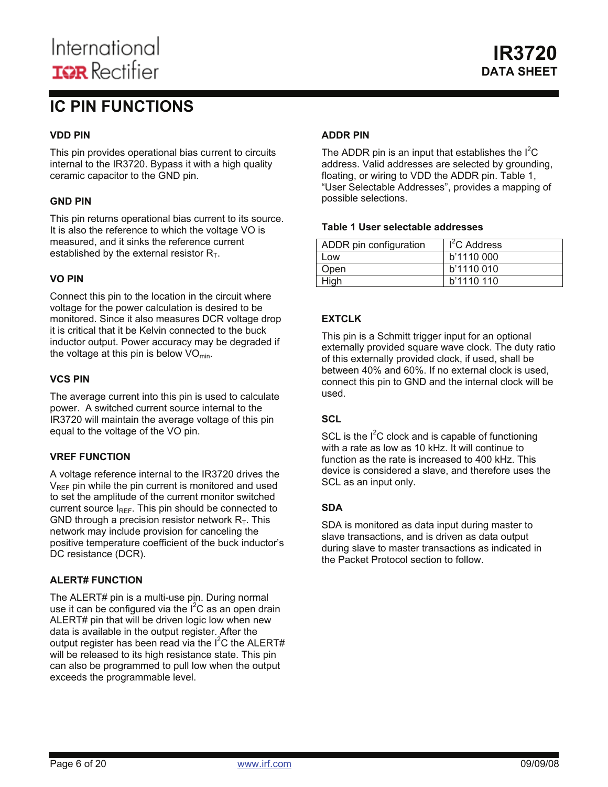### **IC PIN FUNCTIONS**

### **VDD PIN**

This pin provides operational bias current to circuits internal to the IR3720. Bypass it with a high quality ceramic capacitor to the GND pin.

### **GND PIN**

This pin returns operational bias current to its source. It is also the reference to which the voltage VO is measured, and it sinks the reference current established by the external resistor  $R_T$ .

### **VO PIN**

Connect this pin to the location in the circuit where voltage for the power calculation is desired to be monitored. Since it also measures DCR voltage drop it is critical that it be Kelvin connected to the buck inductor output. Power accuracy may be degraded if the voltage at this pin is below  $VO_{min}$ .

### **VCS PIN**

The average current into this pin is used to calculate power. A switched current source internal to the IR3720 will maintain the average voltage of this pin equal to the voltage of the VO pin.

### **VREF FUNCTION**

A voltage reference internal to the IR3720 drives the  $V_{REF}$  pin while the pin current is monitored and used to set the amplitude of the current monitor switched current source  $I_{REF}$ . This pin should be connected to GND through a precision resistor network  $R<sub>T</sub>$ . This network may include provision for canceling the positive temperature coefficient of the buck inductor's DC resistance (DCR).

### **ALERT# FUNCTION**

The ALERT# pin is a multi-use pin. During normal use it can be configured via the  $I^2C$  as an open drain ALERT# pin that will be driven logic low when new data is available in the output register. After the output register has been read via the  $I^2C$  the ALERT# will be released to its high resistance state. This pin can also be programmed to pull low when the output exceeds the programmable level.

### **ADDR PIN**

The ADDR pin is an input that establishes the  $I^2C$ address. Valid addresses are selected by grounding, floating, or wiring to VDD the ADDR pin. Table 1, "User Selectable Addresses", provides a mapping of possible selections.

#### **Table 1 User selectable addresses**

| ADDR pin configuration | $I^2C$ Address |
|------------------------|----------------|
| Low                    | b'1110 000     |
| Open                   | b'1110 010     |
| High                   | b'1110 110     |

### **EXTCLK**

This pin is a Schmitt trigger input for an optional externally provided square wave clock. The duty ratio of this externally provided clock, if used, shall be between 40% and 60%. If no external clock is used, connect this pin to GND and the internal clock will be used.

#### **SCL**

SCL is the  $I^2C$  clock and is capable of functioning with a rate as low as 10 kHz. It will continue to function as the rate is increased to 400 kHz. This device is considered a slave, and therefore uses the SCL as an input only.

### **SDA**

SDA is monitored as data input during master to slave transactions, and is driven as data output during slave to master transactions as indicated in the Packet Protocol section to follow.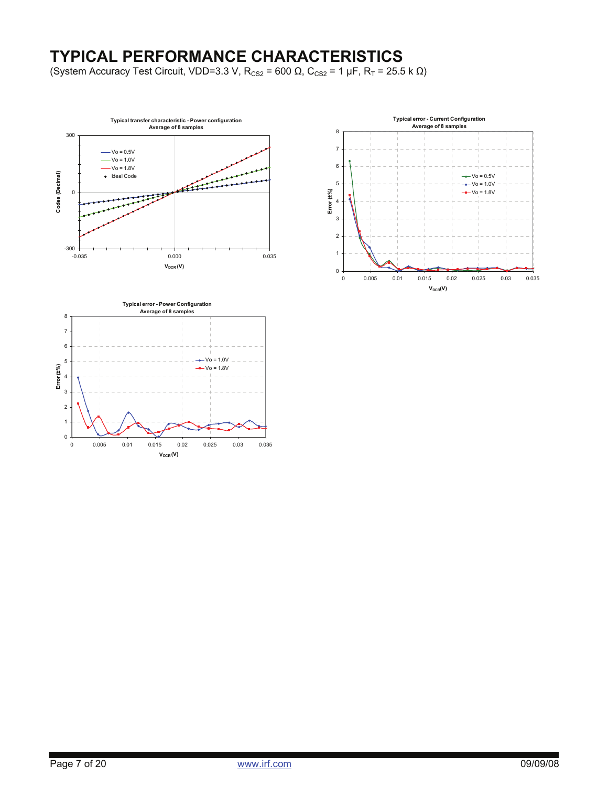### **TYPICAL PERFORMANCE CHARACTERISTICS**

(System Accuracy Test Circuit, VDD=3.3 V, R<sub>CS2</sub> = 600  $\Omega$ , C<sub>CS2</sub> = 1 μF, R<sub>T</sub> = 25.5 k  $\Omega$ )





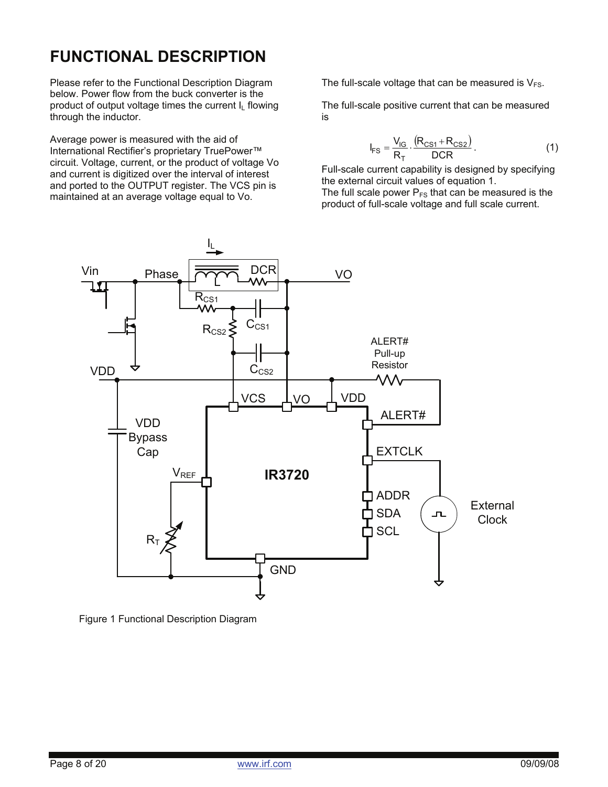## **FUNCTIONAL DESCRIPTION**

Please refer to the Functional Description Diagram below. Power flow from the buck converter is the product of output voltage times the current  $I_1$  flowing through the inductor.

Average power is measured with the aid of International Rectifier's proprietary TruePower™ circuit. Voltage, current, or the product of voltage Vo and current is digitized over the interval of interest and ported to the OUTPUT register. The VCS pin is maintained at an average voltage equal to Vo.

The full-scale voltage that can be measured is  $V_{FS}$ .

The full-scale positive current that can be measured is

$$
I_{FS} = \frac{V_{IG}}{R_T} \cdot \frac{(R_{CS1} + R_{CS2})}{DCR}.
$$
 (1)

Full-scale current capability is designed by specifying the external circuit values of equation 1.

The full scale power  $P_{FS}$  that can be measured is the product of full-scale voltage and full scale current.



Figure 1 Functional Description Diagram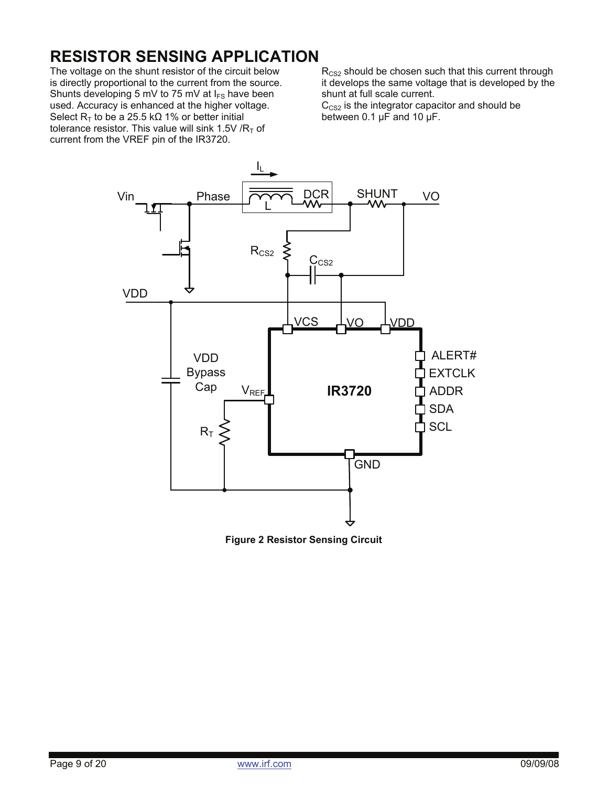## **RESISTOR SENSING APPLICATION**

The voltage on the shunt resistor of the circuit below is directly proportional to the current from the source. Shunts developing 5 mV to 75 mV at  $I_{FS}$  have been used. Accuracy is enhanced at the higher voltage. Select R<sub>T</sub> to be a 25.5 kΩ 1% or better initial tolerance resistor. This value will sink 1.5V  $/R<sub>T</sub>$  of current from the VREF pin of the IR3720.

 $R<sub>CS2</sub>$  should be chosen such that this current through it develops the same voltage that is developed by the shunt at full scale current.

 $C<sub>CS2</sub>$  is the integrator capacitor and should be between  $0.1 \mu$ F and  $10 \mu$ F.



**Figure 2 Resistor Sensing Circuit**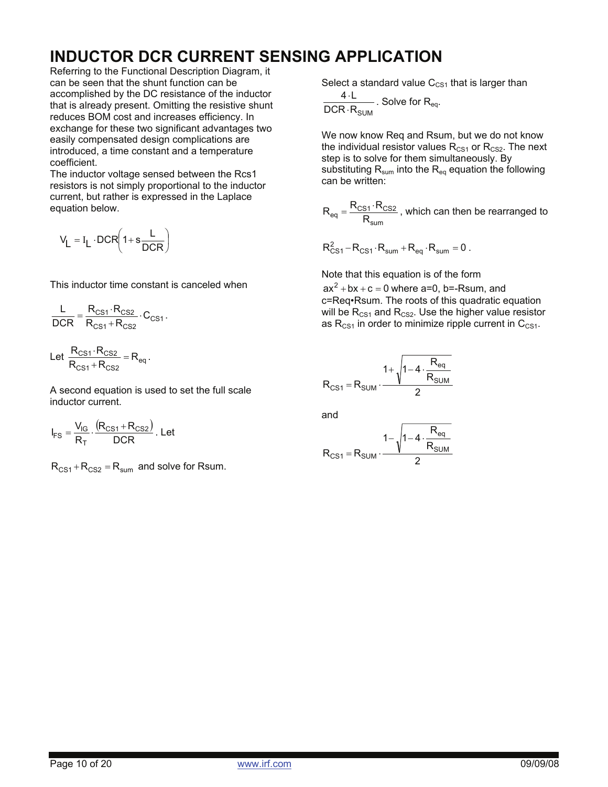## **INDUCTOR DCR CURRENT SENSING APPLICATION**

Referring to the Functional Description Diagram, it can be seen that the shunt function can be accomplished by the DC resistance of the inductor that is already present. Omitting the resistive shunt reduces BOM cost and increases efficiency. In exchange for these two significant advantages two easily compensated design complications are introduced, a time constant and a temperature coefficient.

The inductor voltage sensed between the Rcs1 resistors is not simply proportional to the inductor current, but rather is expressed in the Laplace equation below.

$$
V_L = I_L \cdot DCR\left(1 + s \frac{L}{DCR}\right)
$$

This inductor time constant is canceled when

$$
\frac{L}{DCR} = \frac{R_{CS1} \cdot R_{CS2}}{R_{CS1} + R_{CS2}} \cdot C_{CS1} \, .
$$

Let  $\frac{PCS1 \cdot PCS2}{R_{CS1} + R_{CS2}} = R_{eq}$  $\frac{\mathsf{R}_{\text{CS1}}\cdot\mathsf{R}_{\text{CS2}}}{\mathsf{R}_{\text{CS1}}+\mathsf{R}_{\text{CS2}}}=\mathsf{R}_{\text{eq}}\,.$ 

A second equation is used to set the full scale inductor current.

$$
I_{FS} = \frac{V_{IG}}{R_T} \cdot \frac{(R_{CS1} + R_{CS2})}{DCR}
$$
. Let

 $R_{CS1}$  +  $R_{CS2}$  =  $R_{sum}$  and solve for Rsum.

Select a standard value  $C_{CS1}$  that is larger than

$$
\frac{4 \cdot L}{DCR \cdot R_{SUM}}
$$
. Solve for  $R_{eq}$ .

We now know Req and Rsum, but we do not know the individual resistor values  $R_{CS1}$  or  $R_{CS2}$ . The next step is to solve for them simultaneously. By substituting  $R_{sum}$  into the  $R_{eq}$  equation the following can be written:

$$
R_{eq} = \frac{R_{CS1} \cdot R_{CS2}}{R_{sum}}
$$
, which can then be rearranged to

$$
R_{CS1}^2 - R_{CS1} \cdot R_{sum} + R_{eq} \cdot R_{sum} = 0.
$$

Note that this equation is of the form

 $ax<sup>2</sup> + bx + c = 0$  where a=0, b=-Rsum, and c=Req•Rsum. The roots of this quadratic equation will be  $R_{CS1}$  and  $R_{CS2}$ . Use the higher value resistor as  $R_{CS1}$  in order to minimize ripple current in  $C_{CS1}$ .

$$
R_{CS1} = R_{SUM} \cdot \frac{1 + \sqrt{1 - 4 \cdot \frac{R_{eq}}{R_{SUM}}}}{2}
$$

and

$$
R_{CS1} = R_{SUM} \cdot \frac{1 - \sqrt{1 - 4 \cdot \frac{R_{eq}}{R_{SUM}}}}{2}
$$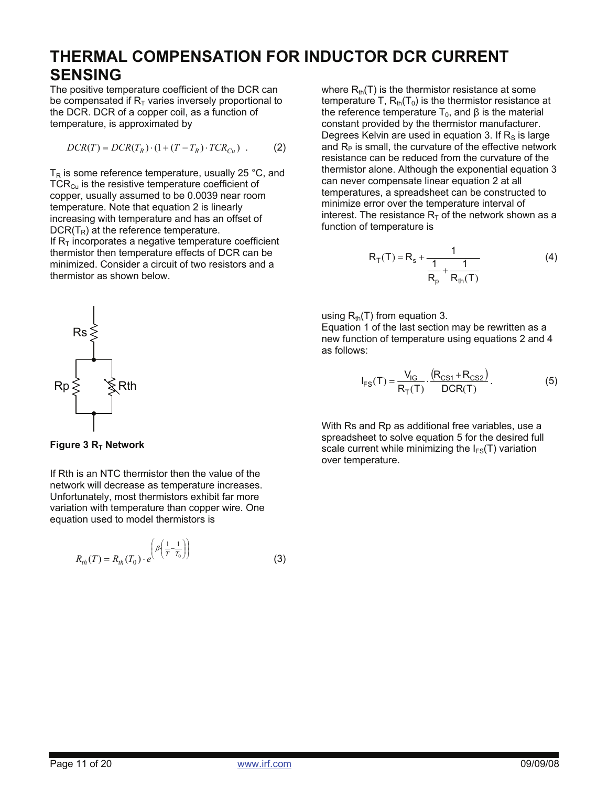### **THERMAL COMPENSATION FOR INDUCTOR DCR CURRENT SENSING**

The positive temperature coefficient of the DCR can be compensated if  $R<sub>T</sub>$  varies inversely proportional to the DCR. DCR of a copper coil, as a function of temperature, is approximated by

$$
DCR(T) = DCR(T_R) \cdot (1 + (T - T_R) \cdot TCR_{Cu}) \tag{2}
$$

 $T_R$  is some reference temperature, usually 25 °C, and  $TCR<sub>Cu</sub>$  is the resistive temperature coefficient of copper, usually assumed to be 0.0039 near room temperature. Note that equation 2 is linearly increasing with temperature and has an offset of  $DCR(T_R)$  at the reference temperature. If  $R<sub>T</sub>$  incorporates a negative temperature coefficient thermistor then temperature effects of DCR can be minimized. Consider a circuit of two resistors and a thermistor as shown below.



#### **Figure 3 R<sub>T</sub> Network**

If Rth is an NTC thermistor then the value of the network will decrease as temperature increases. Unfortunately, most thermistors exhibit far more variation with temperature than copper wire. One equation used to model thermistors is

$$
R_{th}(T) = R_{th}(T_0) \cdot e^{\left(\beta \left(\frac{1}{T} - \frac{1}{T_0}\right)\right)}
$$
(3)

where  $R_{th}(T)$  is the thermistor resistance at some temperature T,  $R_{th}(T_0)$  is the thermistor resistance at the reference temperature  $T_0$ , and β is the material constant provided by the thermistor manufacturer. Degrees Kelvin are used in equation 3. If  $R<sub>s</sub>$  is large and  $R<sub>P</sub>$  is small, the curvature of the effective network resistance can be reduced from the curvature of the thermistor alone. Although the exponential equation 3 can never compensate linear equation 2 at all temperatures, a spreadsheet can be constructed to minimize error over the temperature interval of interest. The resistance  $R<sub>T</sub>$  of the network shown as a function of temperature is

$$
R_{T}(T) = R_{s} + \frac{1}{\frac{1}{R_{p}} + \frac{1}{R_{th}(T)}}
$$
(4)

using  $R_{th}(T)$  from equation 3.

Equation 1 of the last section may be rewritten as a new function of temperature using equations 2 and 4 as follows:

$$
I_{FS}(T) = \frac{V_{IG}}{R_T(T)} \cdot \frac{(R_{CS1} + R_{CS2})}{DCR(T)}.
$$
 (5)

With Rs and Rp as additional free variables, use a spreadsheet to solve equation 5 for the desired full scale current while minimizing the  $I_{FS}(T)$  variation over temperature.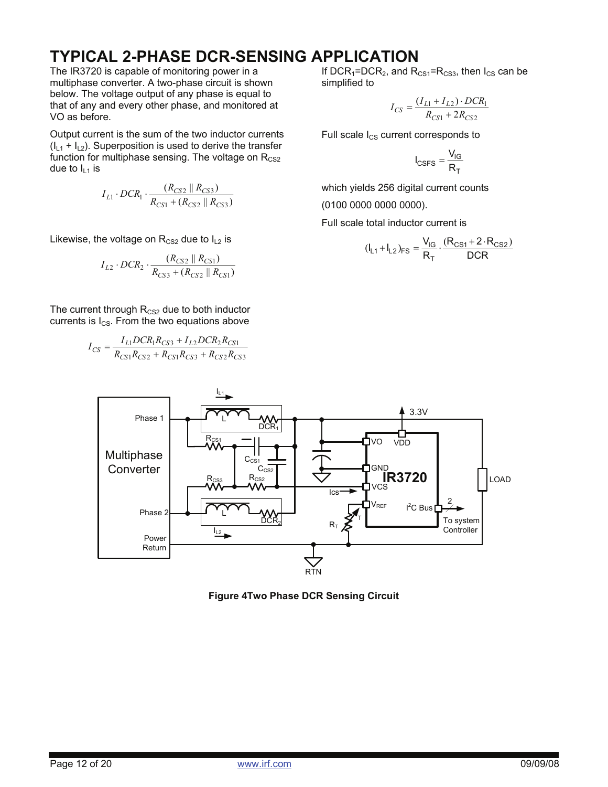## **TYPICAL 2-PHASE DCR-SENSING APPLICATION**

The IR3720 is capable of monitoring power in a multiphase converter. A two-phase circuit is shown below. The voltage output of any phase is equal to that of any and every other phase, and monitored at VO as before.

Output current is the sum of the two inductor currents  $(I_{L1} + I_{L2})$ . Superposition is used to derive the transfer function for multiphase sensing. The voltage on  $R_{CS2}$ due to  $I_{L1}$  is

$$
I_{L1} \cdot DCR_1 \cdot \frac{(R_{CS2} \parallel R_{CS3})}{R_{CS1} + (R_{CS2} \parallel R_{CS3})}
$$

Likewise, the voltage on  $R_{CS2}$  due to  $I_{L2}$  is

$$
I_{L2} \cdot DCR_2 \cdot \frac{(R_{CS2} \parallel R_{CS1})}{R_{CS3} + (R_{CS2} \parallel R_{CS1})}
$$

The current through  $R_{CS2}$  due to both inductor currents is  $I_{CS}$ . From the two equations above

$$
I_{CS} = \frac{I_{L1}DCR_1R_{CS3} + I_{L2}DCR_2R_{CS1}}{R_{CS1}R_{CS2} + R_{CS1}R_{CS3} + R_{CS2}R_{CS3}}
$$

If  $DCR_1=DCR_2$ , and  $R_{CS1}=R_{CS3}$ , then  $I_{CS}$  can be simplified to

$$
I_{CS} = \frac{(I_{L1} + I_{L2}) \cdot DCR_1}{R_{CS1} + 2R_{CS2}}
$$

Full scale  $I_{CS}$  current corresponds to

$$
I_{CSFS} = \frac{V_{IG}}{R_T}
$$

which yields 256 digital current counts (0100 0000 0000 0000).

Full scale total inductor current is

$$
(\mathsf{l}_{\mathsf{L}1} + \mathsf{l}_{\mathsf{L}2})_{FS} = \frac{\mathsf{V}_{\mathsf{lG}}}{\mathsf{R}_{\mathsf{T}}} \cdot \frac{(\mathsf{R}_{CS1} + 2 \cdot \mathsf{R}_{CS2})}{DCR}
$$



**Figure 4Two Phase DCR Sensing Circuit**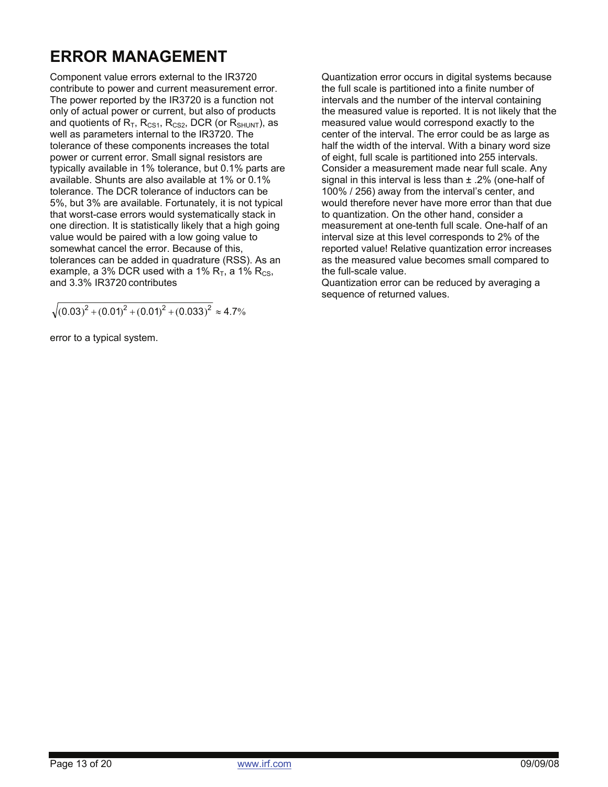## **ERROR MANAGEMENT**

Component value errors external to the IR3720 contribute to power and current measurement error. The power reported by the IR3720 is a function not only of actual power or current, but also of products and quotients of  $R_T$ ,  $R_{CS1}$ ,  $R_{CS2}$ , DCR (or  $R_{SHUNT}$ ), as well as parameters internal to the IR3720. The tolerance of these components increases the total power or current error. Small signal resistors are typically available in 1% tolerance, but 0.1% parts are available. Shunts are also available at 1% or 0.1% tolerance. The DCR tolerance of inductors can be 5%, but 3% are available. Fortunately, it is not typical that worst-case errors would systematically stack in one direction. It is statistically likely that a high going value would be paired with a low going value to somewhat cancel the error. Because of this, tolerances can be added in quadrature (RSS). As an example, a 3% DCR used with a 1%  $R_{T}$ , a 1%  $R_{CS}$ , and 3.3% IR3720 contributes

$$
\sqrt{(0.03)^2 + (0.01)^2 + (0.01)^2 + (0.033)^2} \approx 4.7\%
$$

error to a typical system.

Quantization error occurs in digital systems because the full scale is partitioned into a finite number of intervals and the number of the interval containing the measured value is reported. It is not likely that the measured value would correspond exactly to the center of the interval. The error could be as large as half the width of the interval. With a binary word size of eight, full scale is partitioned into 255 intervals. Consider a measurement made near full scale. Any signal in this interval is less than ± .2% (one-half of 100% / 256) away from the interval's center, and would therefore never have more error than that due to quantization. On the other hand, consider a measurement at one-tenth full scale. One-half of an interval size at this level corresponds to 2% of the reported value! Relative quantization error increases as the measured value becomes small compared to the full-scale value.

Quantization error can be reduced by averaging a sequence of returned values.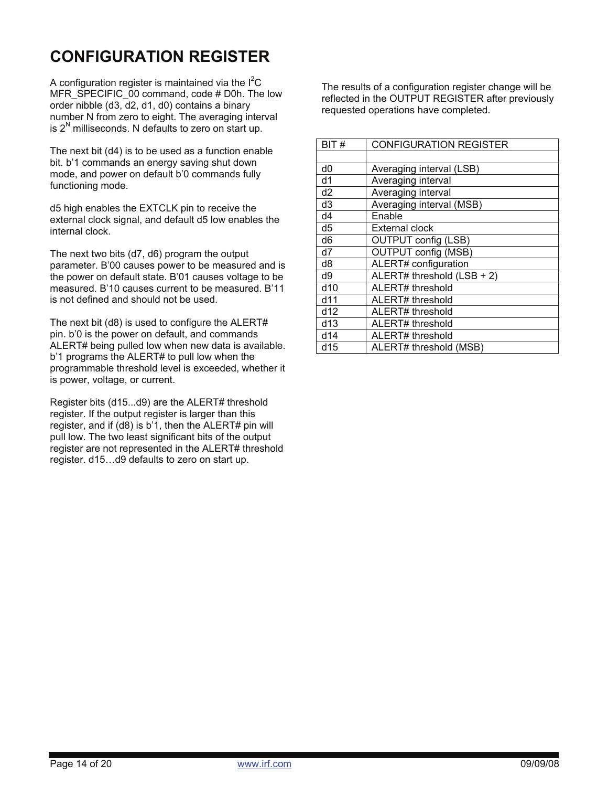## **CONFIGURATION REGISTER**

A configuration register is maintained via the  $I^2C$ MFR\_SPECIFIC\_00 command, code # D0h. The low order nibble (d3, d2, d1, d0) contains a binary number N from zero to eight. The averaging interval is  $2<sup>N</sup>$  milliseconds. N defaults to zero on start up.

The next bit (d4) is to be used as a function enable bit. b'1 commands an energy saving shut down mode, and power on default b'0 commands fully functioning mode.

d5 high enables the EXTCLK pin to receive the external clock signal, and default d5 low enables the internal clock.

The next two bits (d7, d6) program the output parameter. B'00 causes power to be measured and is the power on default state. B'01 causes voltage to be measured. B'10 causes current to be measured. B'11 is not defined and should not be used.

The next bit (d8) is used to configure the ALERT# pin. b'0 is the power on default, and commands ALERT# being pulled low when new data is available. b'1 programs the ALERT# to pull low when the programmable threshold level is exceeded, whether it is power, voltage, or current.

Register bits (d15...d9) are the ALERT# threshold register. If the output register is larger than this register, and if (d8) is b'1, then the ALERT# pin will pull low. The two least significant bits of the output register are not represented in the ALERT# threshold register. d15…d9 defaults to zero on start up.

The results of a configuration register change will be reflected in the OUTPUT REGISTER after previously requested operations have completed.

| BIT#            | <b>CONFIGURATION REGISTER</b> |
|-----------------|-------------------------------|
|                 |                               |
| d0              | Averaging interval (LSB)      |
| d1              | Averaging interval            |
| d2              | Averaging interval            |
| d3              | Averaging interval (MSB)      |
| d4              | Enable                        |
| d5              | <b>External clock</b>         |
| d <sub>6</sub>  | <b>OUTPUT config (LSB)</b>    |
| d7              | <b>OUTPUT</b> config (MSB)    |
| d8              | ALERT# configuration          |
| d9              | ALERT# threshold (LSB + 2)    |
| d <sub>10</sub> | ALERT# threshold              |
| d11             | ALERT# threshold              |
| d12             | ALERT# threshold              |
| d13             | ALERT# threshold              |
| d14             | ALERT# threshold              |
| d15             | ALERT# threshold (MSB)        |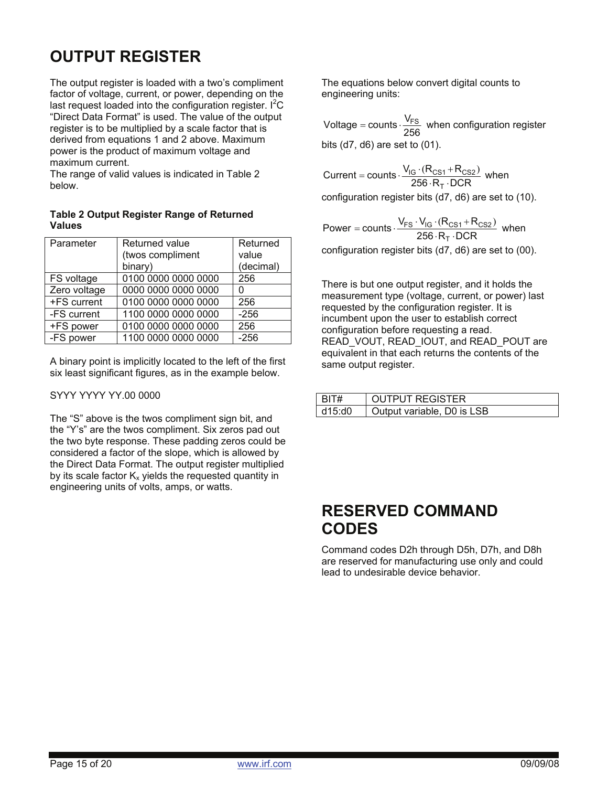## **OUTPUT REGISTER**

The output register is loaded with a two's compliment factor of voltage, current, or power, depending on the last request loaded into the configuration register.  $l^2C$ "Direct Data Format" is used. The value of the output register is to be multiplied by a scale factor that is derived from equations 1 and 2 above. Maximum power is the product of maximum voltage and maximum current.

The range of valid values is indicated in Table 2 below.

### **Table 2 Output Register Range of Returned Values**

| Parameter    | Returned value      | Returned  |
|--------------|---------------------|-----------|
|              | (twos compliment    | value     |
|              | binary)             | (decimal) |
| FS voltage   | 0100 0000 0000 0000 | 256       |
| Zero voltage | 0000 0000 0000 0000 | 0         |
| +FS current  | 0100 0000 0000 0000 | 256       |
| -FS current  | 1100 0000 0000 0000 | $-256$    |
| +FS power    | 0100 0000 0000 0000 | 256       |
| -FS power    | 1100 0000 0000 0000 | $-256$    |

A binary point is implicitly located to the left of the first six least significant figures, as in the example below.

### SYYY YYYY YY.00 0000

The "S" above is the twos compliment sign bit, and the "Y's" are the twos compliment. Six zeros pad out the two byte response. These padding zeros could be considered a factor of the slope, which is allowed by the Direct Data Format. The output register multiplied by its scale factor  $K_x$  yields the requested quantity in engineering units of volts, amps, or watts.

The equations below convert digital counts to engineering units:

Voltage = counts  $\cdot \frac{V_{FS}}{256}$  when configuration register bits (d7, d6) are set to (01).

 $\textsf{Current} = \textsf{counts} \cdot \frac{\mathsf{V}_{\mathsf{IG}} \cdot (\mathsf{R}_{\textsf{CS1}} + \mathsf{R}_{\textsf{CS}})}{256 \cdot \mathsf{R}_{\textsf{T}} \cdot \textsf{DCR}}$ T IG 'lDCS1 <sup>+</sup>DCS2 = counts  $\cdot \frac{V_{IG} \cdot (R_{CS1} + R_{CS2})}{256 \cdot R_T \cdot DCR}$  when configuration register bits (d7, d6) are set to (10).

Power = counts  $\cdot \frac{V_{FS} \cdot V_{IG} \cdot (R_{CS1} + R)}{256 \cdot R_T \cdot DCR}$ T FS ' <sup>V</sup>IG ' (LCS1 <sup>+</sup> LCS2 = counts  $\cdot \frac{V_{FS} \cdot V_{IG} \cdot (R_{CS1} + R_{CS2})}{256 \cdot R_{T} \cdot DCR}$  when configuration register bits (d7, d6) are set to (00).

There is but one output register, and it holds the measurement type (voltage, current, or power) last requested by the configuration register. It is incumbent upon the user to establish correct configuration before requesting a read. READ\_VOUT, READ\_IOUT, and READ\_POUT are equivalent in that each returns the contents of the same output register.

| RIT#   | <b>OUTPUT REGISTER</b>     |
|--------|----------------------------|
| 415.90 | Output variable, D0 is LSB |

### **RESERVED COMMAND CODES**

Command codes D2h through D5h, D7h, and D8h are reserved for manufacturing use only and could lead to undesirable device behavior.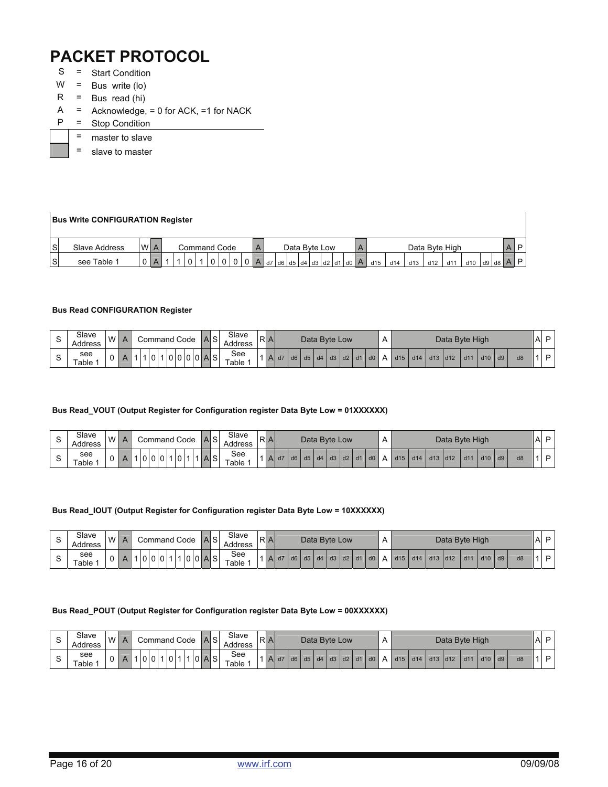## **PACKET PROTOCOL**

- S = Start Condition
- $W = Bus$  write (lo)
- $R = Bus$  read (hi)
- $A =$  Acknowledge, = 0 for ACK, =1 for NACK
- P = Stop Condition
- = master to slave
	- = slave to master

|   | <b>Bus Write CONFIGURATION Register</b>            |  |  |  |  |  |  |  |  |  |  |  |  |               |                                                       |  |  |  |         |     |                |  |     |                                 |   |  |
|---|----------------------------------------------------|--|--|--|--|--|--|--|--|--|--|--|--|---------------|-------------------------------------------------------|--|--|--|---------|-----|----------------|--|-----|---------------------------------|---|--|
| S | <b>WIA</b><br>Slave Address<br><b>Command Code</b> |  |  |  |  |  |  |  |  |  |  |  |  | Data Byte Low |                                                       |  |  |  |         |     | Data Byte High |  |     | A                               | D |  |
| S | see Table 1                                        |  |  |  |  |  |  |  |  |  |  |  |  |               | 0   0   A   d7   d6   d5   d4   d3   d2   d1   d0   A |  |  |  | d15 d14 | d13 | d12            |  | d10 | $\cdot \circ$   d9   d8   A   P |   |  |

#### **Bus Read CONFIGURATION Register**

| Slave<br>Address | W | A | ;ommand | Code |                | IAISI     | Slave<br>Address | RA. |        |    | Data Byte Low |                                              |  |                               |   |     |                 | Data Byte High |       |     |    |    | A | D |
|------------------|---|---|---------|------|----------------|-----------|------------------|-----|--------|----|---------------|----------------------------------------------|--|-------------------------------|---|-----|-----------------|----------------|-------|-----|----|----|---|---|
| see<br>Table     |   |   |         | 10 O | $\bigcap$<br>u | <b>AS</b> | See<br>$Table$ . |     | $A$ d7 | AG | $d5$ $d4$     | $\overline{3}$ d <sub>2</sub> d <sub>1</sub> |  | $\overline{1}$ d <sub>0</sub> | Δ | d15 | $1 d14$ d13 d12 |                | 1 d11 | d10 | d9 | d8 |   | D |

#### **Bus Read\_VOUT (Output Register for Configuration register Data Byte Low = 01XXXXXX)**

| Slave<br>Address | W | A | Command Code                  | AIS | Slave<br>Address | RIA. |          |    |                   | Data Byte Low  |  |                        |   |           |           | Data Byte High |      |     |    |    | A | D |
|------------------|---|---|-------------------------------|-----|------------------|------|----------|----|-------------------|----------------|--|------------------------|---|-----------|-----------|----------------|------|-----|----|----|---|---|
| see<br>Table     |   | A | <b>0</b><br>v<br>$\mathbf{v}$ | ات  | See<br>Table i   |      | <b>A</b> | d7 | $\overline{1}$ d6 | d5 d4 d3 d2 d1 |  | $\vert$ d <sub>0</sub> | A | $d15$ d14 | $d13$ d12 |                | dd11 | d10 | d9 | d8 |   |   |

#### **Bus Read\_IOUT (Output Register for Configuration register Data Byte Low = 10XXXXXX)**

| Slave<br>Address | M | A | Command Code            | AI SI | Slave<br>Address | RA. |      |          | Data Byte Low       |                   |               |                        |   |           |             | Data Byte High |      |     |    |                | A | D |
|------------------|---|---|-------------------------|-------|------------------|-----|------|----------|---------------------|-------------------|---------------|------------------------|---|-----------|-------------|----------------|------|-----|----|----------------|---|---|
| see<br>Table     |   | A | J.<br>ັ<br>$\mathbf{v}$ | 00A   | See<br>Table 1   |     | IAI. | d7<br>d6 | $d5$ d <sub>4</sub> | $\overline{A}$ d3 | $\vert$ d2 d1 | $\vert$ d <sub>0</sub> | A | $d15$ d14 | $d13$ $d12$ |                | dd11 | d10 | d9 | d <sub>8</sub> |   |   |

#### **Bus Read\_POUT (Output Register for Configuration register Data Byte Low = 00XXXXXX)**

| Slave<br>Address | W | Command Code | S<br>I Al | Slave<br>Address | <b>RA</b> |                      |                        |                        | Data Byte Low  |                |   |      |               | Data Byte High |                  |     |    |    | AI | D. |
|------------------|---|--------------|-----------|------------------|-----------|----------------------|------------------------|------------------------|----------------|----------------|---|------|---------------|----------------|------------------|-----|----|----|----|----|
| see<br>Table     |   | U<br>◡       | ت         | See<br>Table 1   |           | $\overline{A}$<br>d7 | $\vert$ d <sub>5</sub> | $\vert$ d <sub>4</sub> | $d3$ $d2$ $d1$ | $\overline{d}$ | Δ | dd15 | i d14 d13 d12 |                | dd1 <sup>4</sup> | d10 | d9 | d8 |    | D  |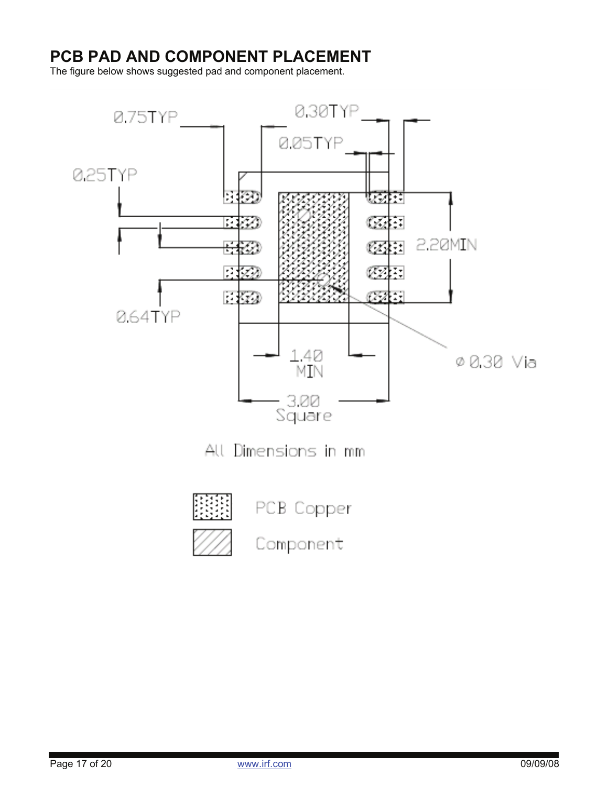### **PCB PAD AND COMPONENT PLACEMENT**

The figure below shows suggested pad and component placement.





PCB Copper



Component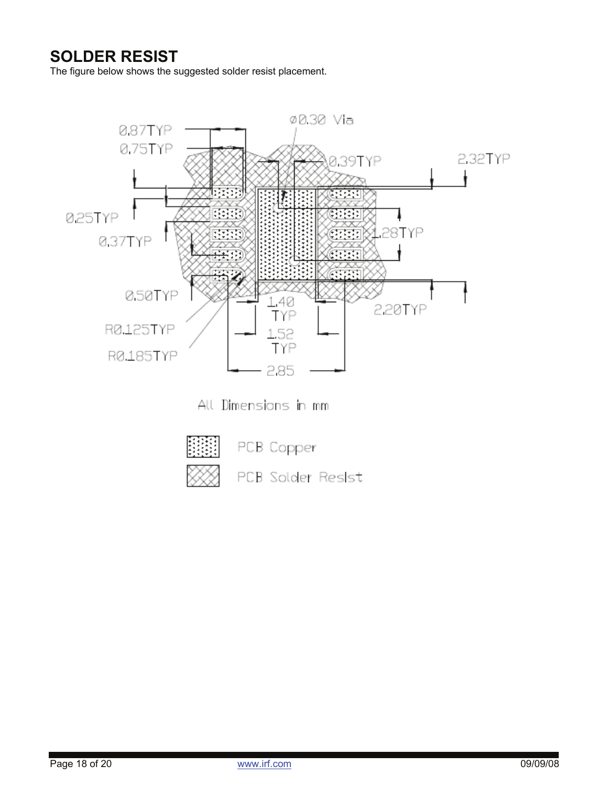### **SOLDER RESIST**

The figure below shows the suggested solder resist placement.



All Dimensions in mm



PCB Copper

PCB Solder Resist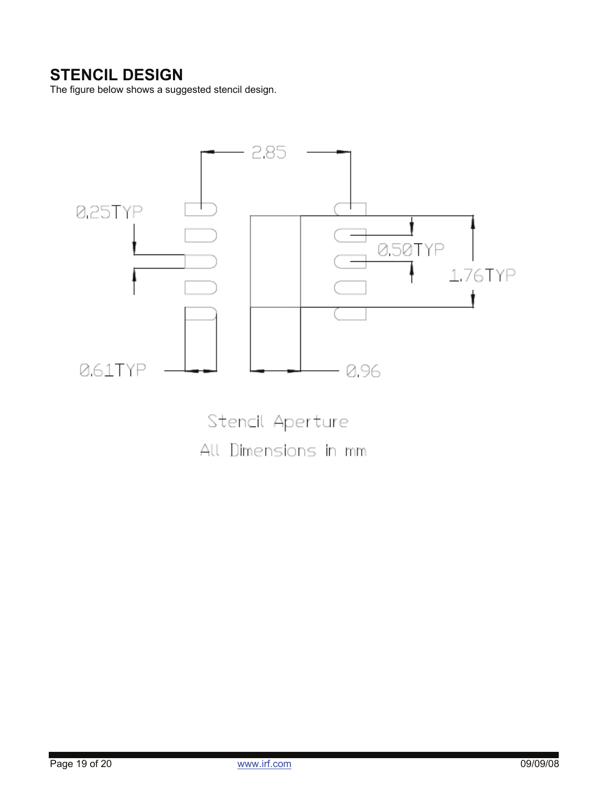### **STENCIL DESIGN**

The figure below shows a suggested stencil design.



- Stencil Aperture
- All Dimensions in mm